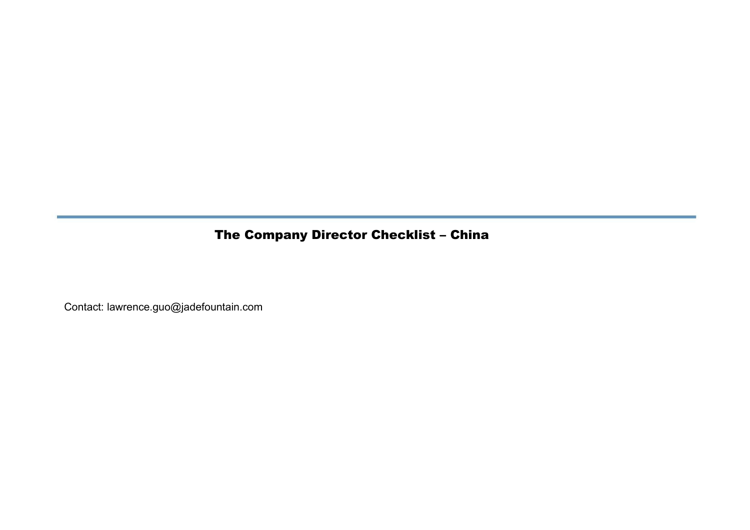## The Company Director Checklist – China

Contact: lawrence.guo@jadefountain.com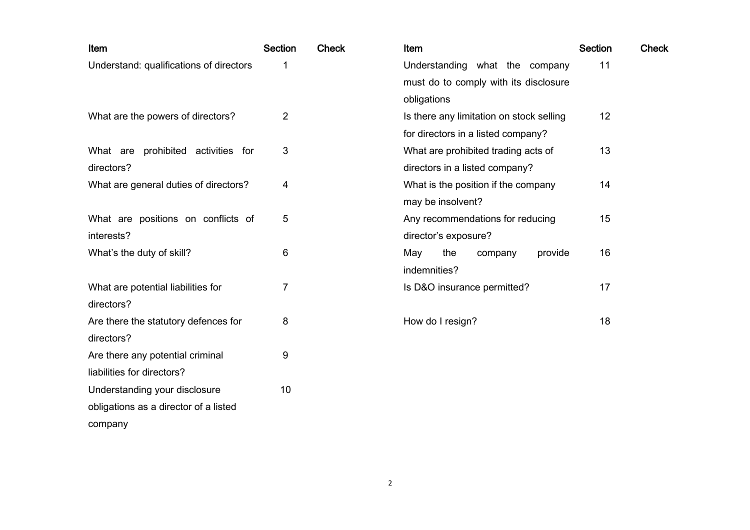| Item                                    | <b>Section</b> | <b>Check</b> | Item                                     | <b>Section</b> | <b>Check</b> |
|-----------------------------------------|----------------|--------------|------------------------------------------|----------------|--------------|
| Understand: qualifications of directors | 1              |              | Understanding what the company           | 11             |              |
|                                         |                |              | must do to comply with its disclosure    |                |              |
|                                         |                |              | obligations                              |                |              |
| What are the powers of directors?       | $\overline{2}$ |              | Is there any limitation on stock selling | 12             |              |
|                                         |                |              | for directors in a listed company?       |                |              |
| What are prohibited activities for      | 3              |              | What are prohibited trading acts of      | 13             |              |
| directors?                              |                |              | directors in a listed company?           |                |              |
| What are general duties of directors?   | 4              |              | What is the position if the company      | 14             |              |
|                                         |                |              | may be insolvent?                        |                |              |
| What are positions on conflicts of      | 5              |              | Any recommendations for reducing         | 15             |              |
| interests?                              |                |              | director's exposure?                     |                |              |
| What's the duty of skill?               | 6              |              | the<br>May<br>provide<br>company         | 16             |              |
|                                         |                |              | indemnities?                             |                |              |
| What are potential liabilities for      | 7              |              | Is D&O insurance permitted?              | 17             |              |
| directors?                              |                |              |                                          |                |              |
| Are there the statutory defences for    | 8              |              | How do I resign?                         | 18             |              |
| directors?                              |                |              |                                          |                |              |
| Are there any potential criminal        | 9              |              |                                          |                |              |
| liabilities for directors?              |                |              |                                          |                |              |
| Understanding your disclosure           | 10             |              |                                          |                |              |
| obligations as a director of a listed   |                |              |                                          |                |              |
| company                                 |                |              |                                          |                |              |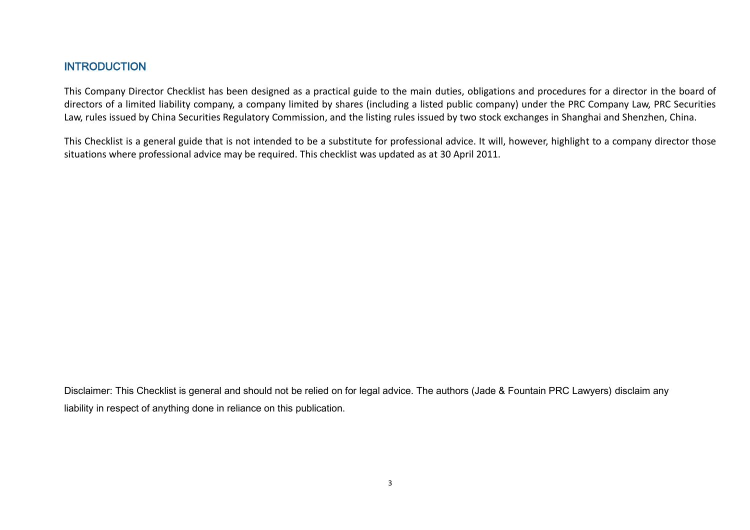## **INTRODUCTION**

This Company Director Checklist has been designed as a practical guide to the main duties, obligations and procedures for a director in the board of directors of a limited liability company, a company limited by shares (including a listed public company) under the PRC Company Law, PRC Securities Law, rules issued by China Securities Regulatory Commission, and the listing rules issued by two stock exchanges in Shanghai and Shenzhen, China.

This Checklist is a general guide that is not intended to be a substitute for professional advice. It will, however, highlight to a company director those situations where professional advice may be required. This checklist was updated as at 30 April 2011.

Disclaimer: This Checklist is general and should not be relied on for legal advice. The authors (Jade & Fountain PRC Lawyers) disclaim any liability in respect of anything done in reliance on this publication.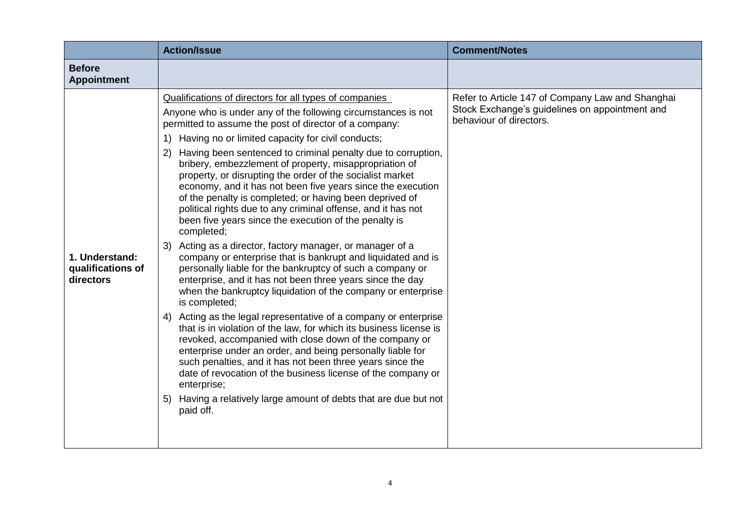|                                                  | <b>Action/Issue</b>                                                                                                                                                                                                                                                                                                                                                                                                                                                                                                                                                                                                                                                                                                                                                                                                                                                                                                                                                                                                                                                                                                                                                                                                                                                                                                                                                                                                                                                                                                                              | <b>Comment/Notes</b>                                                                                                          |
|--------------------------------------------------|--------------------------------------------------------------------------------------------------------------------------------------------------------------------------------------------------------------------------------------------------------------------------------------------------------------------------------------------------------------------------------------------------------------------------------------------------------------------------------------------------------------------------------------------------------------------------------------------------------------------------------------------------------------------------------------------------------------------------------------------------------------------------------------------------------------------------------------------------------------------------------------------------------------------------------------------------------------------------------------------------------------------------------------------------------------------------------------------------------------------------------------------------------------------------------------------------------------------------------------------------------------------------------------------------------------------------------------------------------------------------------------------------------------------------------------------------------------------------------------------------------------------------------------------------|-------------------------------------------------------------------------------------------------------------------------------|
| <b>Before</b><br><b>Appointment</b>              |                                                                                                                                                                                                                                                                                                                                                                                                                                                                                                                                                                                                                                                                                                                                                                                                                                                                                                                                                                                                                                                                                                                                                                                                                                                                                                                                                                                                                                                                                                                                                  |                                                                                                                               |
| 1. Understand:<br>qualifications of<br>directors | Qualifications of directors for all types of companies<br>Anyone who is under any of the following circumstances is not<br>permitted to assume the post of director of a company:<br>1) Having no or limited capacity for civil conducts;<br>Having been sentenced to criminal penalty due to corruption,<br>(2)<br>bribery, embezzlement of property, misappropriation of<br>property, or disrupting the order of the socialist market<br>economy, and it has not been five years since the execution<br>of the penalty is completed; or having been deprived of<br>political rights due to any criminal offense, and it has not<br>been five years since the execution of the penalty is<br>completed;<br>3) Acting as a director, factory manager, or manager of a<br>company or enterprise that is bankrupt and liquidated and is<br>personally liable for the bankruptcy of such a company or<br>enterprise, and it has not been three years since the day<br>when the bankruptcy liquidation of the company or enterprise<br>is completed;<br>4) Acting as the legal representative of a company or enterprise<br>that is in violation of the law, for which its business license is<br>revoked, accompanied with close down of the company or<br>enterprise under an order, and being personally liable for<br>such penalties, and it has not been three years since the<br>date of revocation of the business license of the company or<br>enterprise;<br>5) Having a relatively large amount of debts that are due but not<br>paid off. | Refer to Article 147 of Company Law and Shanghai<br>Stock Exchange's guidelines on appointment and<br>behaviour of directors. |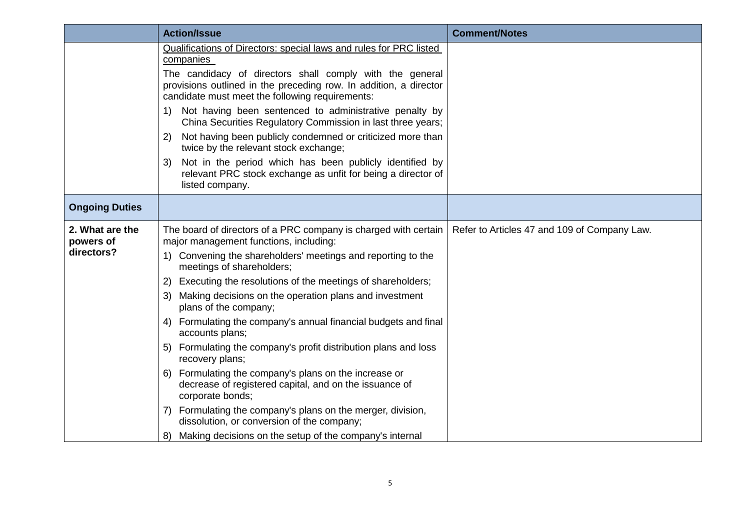|                                            | <b>Action/Issue</b>                                                                                                                                                                                                                                                                                                                                                                                                                                                                                                                                                                                                                                                                                                                                                                                  | <b>Comment/Notes</b>                         |
|--------------------------------------------|------------------------------------------------------------------------------------------------------------------------------------------------------------------------------------------------------------------------------------------------------------------------------------------------------------------------------------------------------------------------------------------------------------------------------------------------------------------------------------------------------------------------------------------------------------------------------------------------------------------------------------------------------------------------------------------------------------------------------------------------------------------------------------------------------|----------------------------------------------|
|                                            | Qualifications of Directors: special laws and rules for PRC listed<br>companies                                                                                                                                                                                                                                                                                                                                                                                                                                                                                                                                                                                                                                                                                                                      |                                              |
|                                            | The candidacy of directors shall comply with the general<br>provisions outlined in the preceding row. In addition, a director<br>candidate must meet the following requirements:                                                                                                                                                                                                                                                                                                                                                                                                                                                                                                                                                                                                                     |                                              |
|                                            | Not having been sentenced to administrative penalty by<br>1)<br>China Securities Regulatory Commission in last three years;                                                                                                                                                                                                                                                                                                                                                                                                                                                                                                                                                                                                                                                                          |                                              |
|                                            | Not having been publicly condemned or criticized more than<br>2)<br>twice by the relevant stock exchange;                                                                                                                                                                                                                                                                                                                                                                                                                                                                                                                                                                                                                                                                                            |                                              |
|                                            | Not in the period which has been publicly identified by<br>3)<br>relevant PRC stock exchange as unfit for being a director of<br>listed company.                                                                                                                                                                                                                                                                                                                                                                                                                                                                                                                                                                                                                                                     |                                              |
| <b>Ongoing Duties</b>                      |                                                                                                                                                                                                                                                                                                                                                                                                                                                                                                                                                                                                                                                                                                                                                                                                      |                                              |
| 2. What are the<br>powers of<br>directors? | The board of directors of a PRC company is charged with certain<br>major management functions, including:<br>Convening the shareholders' meetings and reporting to the<br>$\left( \begin{matrix} 1 \end{matrix} \right)$<br>meetings of shareholders;<br>Executing the resolutions of the meetings of shareholders;<br>2)<br>Making decisions on the operation plans and investment<br>3)<br>plans of the company;<br>4) Formulating the company's annual financial budgets and final<br>accounts plans;<br>5) Formulating the company's profit distribution plans and loss<br>recovery plans;<br>6) Formulating the company's plans on the increase or<br>decrease of registered capital, and on the issuance of<br>corporate bonds;<br>7) Formulating the company's plans on the merger, division, | Refer to Articles 47 and 109 of Company Law. |
|                                            | dissolution, or conversion of the company;<br>Making decisions on the setup of the company's internal<br>8)                                                                                                                                                                                                                                                                                                                                                                                                                                                                                                                                                                                                                                                                                          |                                              |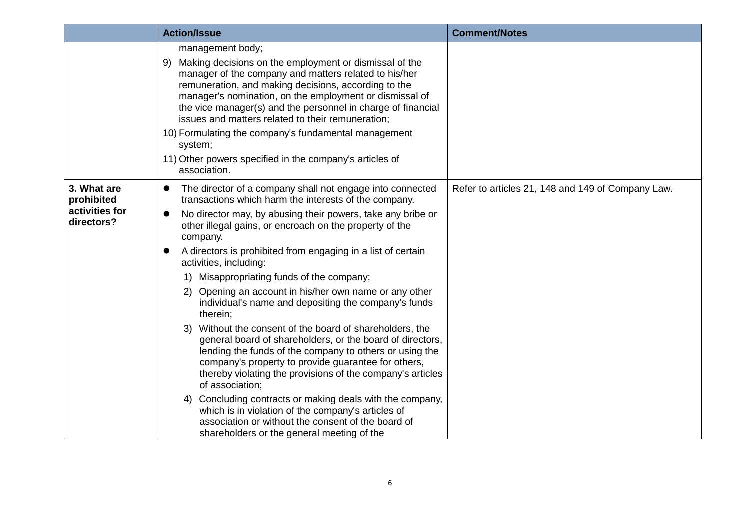|                                                           | <b>Action/Issue</b>                                                                                                                                                                                                                                                                                                                                                                                                                                                                                                                                                                                                                                                                                                                                                                                                                                                                                                                                                                                                                                                                                    | <b>Comment/Notes</b>                              |
|-----------------------------------------------------------|--------------------------------------------------------------------------------------------------------------------------------------------------------------------------------------------------------------------------------------------------------------------------------------------------------------------------------------------------------------------------------------------------------------------------------------------------------------------------------------------------------------------------------------------------------------------------------------------------------------------------------------------------------------------------------------------------------------------------------------------------------------------------------------------------------------------------------------------------------------------------------------------------------------------------------------------------------------------------------------------------------------------------------------------------------------------------------------------------------|---------------------------------------------------|
|                                                           | management body;<br>Making decisions on the employment or dismissal of the<br>9)<br>manager of the company and matters related to his/her<br>remuneration, and making decisions, according to the<br>manager's nomination, on the employment or dismissal of<br>the vice manager(s) and the personnel in charge of financial<br>issues and matters related to their remuneration;<br>10) Formulating the company's fundamental management<br>system;<br>11) Other powers specified in the company's articles of<br>association.                                                                                                                                                                                                                                                                                                                                                                                                                                                                                                                                                                        |                                                   |
| 3. What are<br>prohibited<br>activities for<br>directors? | The director of a company shall not engage into connected<br>$\bullet$<br>transactions which harm the interests of the company.<br>No director may, by abusing their powers, take any bribe or<br>other illegal gains, or encroach on the property of the<br>company.<br>A directors is prohibited from engaging in a list of certain<br>activities, including:<br>Misappropriating funds of the company;<br>1)<br>2) Opening an account in his/her own name or any other<br>individual's name and depositing the company's funds<br>therein;<br>Without the consent of the board of shareholders, the<br>3)<br>general board of shareholders, or the board of directors,<br>lending the funds of the company to others or using the<br>company's property to provide guarantee for others,<br>thereby violating the provisions of the company's articles<br>of association;<br>Concluding contracts or making deals with the company,<br>4)<br>which is in violation of the company's articles of<br>association or without the consent of the board of<br>shareholders or the general meeting of the | Refer to articles 21, 148 and 149 of Company Law. |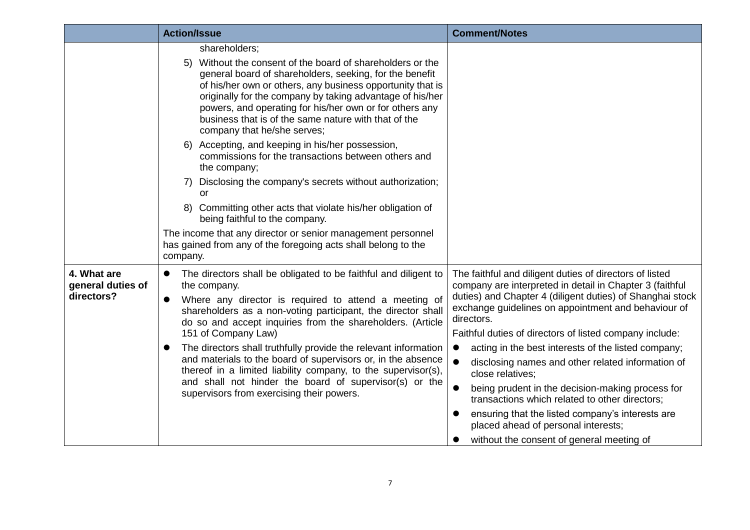|                                                | <b>Action/Issue</b>                                                                                                                                                                                                                                                                                                                                                                                                                                                                                                                                                                                                                             | <b>Comment/Notes</b>                                                                                                                                                                                                                                                                                                                                                                                                                                                                                                                                                                                                                                                                                                     |
|------------------------------------------------|-------------------------------------------------------------------------------------------------------------------------------------------------------------------------------------------------------------------------------------------------------------------------------------------------------------------------------------------------------------------------------------------------------------------------------------------------------------------------------------------------------------------------------------------------------------------------------------------------------------------------------------------------|--------------------------------------------------------------------------------------------------------------------------------------------------------------------------------------------------------------------------------------------------------------------------------------------------------------------------------------------------------------------------------------------------------------------------------------------------------------------------------------------------------------------------------------------------------------------------------------------------------------------------------------------------------------------------------------------------------------------------|
|                                                | shareholders;<br>Without the consent of the board of shareholders or the<br>5)<br>general board of shareholders, seeking, for the benefit<br>of his/her own or others, any business opportunity that is<br>originally for the company by taking advantage of his/her<br>powers, and operating for his/her own or for others any<br>business that is of the same nature with that of the<br>company that he/she serves;<br>Accepting, and keeping in his/her possession,<br>6)                                                                                                                                                                   |                                                                                                                                                                                                                                                                                                                                                                                                                                                                                                                                                                                                                                                                                                                          |
|                                                | commissions for the transactions between others and<br>the company;<br>Disclosing the company's secrets without authorization;<br>or<br>8) Committing other acts that violate his/her obligation of<br>being faithful to the company.<br>The income that any director or senior management personnel<br>has gained from any of the foregoing acts shall belong to the<br>company.                                                                                                                                                                                                                                                               |                                                                                                                                                                                                                                                                                                                                                                                                                                                                                                                                                                                                                                                                                                                          |
| 4. What are<br>general duties of<br>directors? | The directors shall be obligated to be faithful and diligent to<br>$\bullet$<br>the company.<br>Where any director is required to attend a meeting of<br>$\bullet$<br>shareholders as a non-voting participant, the director shall<br>do so and accept inquiries from the shareholders. (Article<br>151 of Company Law)<br>The directors shall truthfully provide the relevant information<br>$\bullet$<br>and materials to the board of supervisors or, in the absence<br>thereof in a limited liability company, to the supervisor(s),<br>and shall not hinder the board of supervisor(s) or the<br>supervisors from exercising their powers. | The faithful and diligent duties of directors of listed<br>company are interpreted in detail in Chapter 3 (faithful<br>duties) and Chapter 4 (diligent duties) of Shanghai stock<br>exchange guidelines on appointment and behaviour of<br>directors.<br>Faithful duties of directors of listed company include:<br>acting in the best interests of the listed company;<br>$\bullet$<br>$\bullet$<br>disclosing names and other related information of<br>close relatives;<br>being prudent in the decision-making process for<br>transactions which related to other directors;<br>ensuring that the listed company's interests are<br>placed ahead of personal interests;<br>without the consent of general meeting of |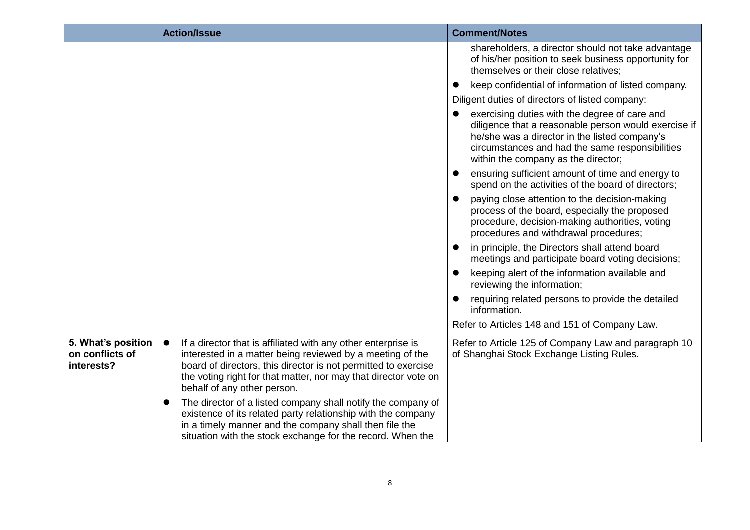|                                                     | <b>Action/Issue</b>                                                                                                                                                                                                                                                                                         | <b>Comment/Notes</b>                                                                                                                                                                                                                             |
|-----------------------------------------------------|-------------------------------------------------------------------------------------------------------------------------------------------------------------------------------------------------------------------------------------------------------------------------------------------------------------|--------------------------------------------------------------------------------------------------------------------------------------------------------------------------------------------------------------------------------------------------|
|                                                     |                                                                                                                                                                                                                                                                                                             | shareholders, a director should not take advantage<br>of his/her position to seek business opportunity for<br>themselves or their close relatives;                                                                                               |
|                                                     |                                                                                                                                                                                                                                                                                                             | keep confidential of information of listed company.                                                                                                                                                                                              |
|                                                     |                                                                                                                                                                                                                                                                                                             | Diligent duties of directors of listed company:                                                                                                                                                                                                  |
|                                                     |                                                                                                                                                                                                                                                                                                             | exercising duties with the degree of care and<br>diligence that a reasonable person would exercise if<br>he/she was a director in the listed company's<br>circumstances and had the same responsibilities<br>within the company as the director; |
|                                                     |                                                                                                                                                                                                                                                                                                             | ensuring sufficient amount of time and energy to<br>spend on the activities of the board of directors;                                                                                                                                           |
|                                                     |                                                                                                                                                                                                                                                                                                             | paying close attention to the decision-making<br>$\bullet$<br>process of the board, especially the proposed<br>procedure, decision-making authorities, voting<br>procedures and withdrawal procedures;                                           |
|                                                     |                                                                                                                                                                                                                                                                                                             | in principle, the Directors shall attend board<br>meetings and participate board voting decisions;                                                                                                                                               |
|                                                     |                                                                                                                                                                                                                                                                                                             | keeping alert of the information available and<br>reviewing the information;                                                                                                                                                                     |
|                                                     |                                                                                                                                                                                                                                                                                                             | requiring related persons to provide the detailed<br>information.                                                                                                                                                                                |
|                                                     |                                                                                                                                                                                                                                                                                                             | Refer to Articles 148 and 151 of Company Law.                                                                                                                                                                                                    |
| 5. What's position<br>on conflicts of<br>interests? | If a director that is affiliated with any other enterprise is<br>$\bullet$<br>interested in a matter being reviewed by a meeting of the<br>board of directors, this director is not permitted to exercise<br>the voting right for that matter, nor may that director vote on<br>behalf of any other person. | Refer to Article 125 of Company Law and paragraph 10<br>of Shanghai Stock Exchange Listing Rules.                                                                                                                                                |
|                                                     | The director of a listed company shall notify the company of<br>existence of its related party relationship with the company<br>in a timely manner and the company shall then file the<br>situation with the stock exchange for the record. When the                                                        |                                                                                                                                                                                                                                                  |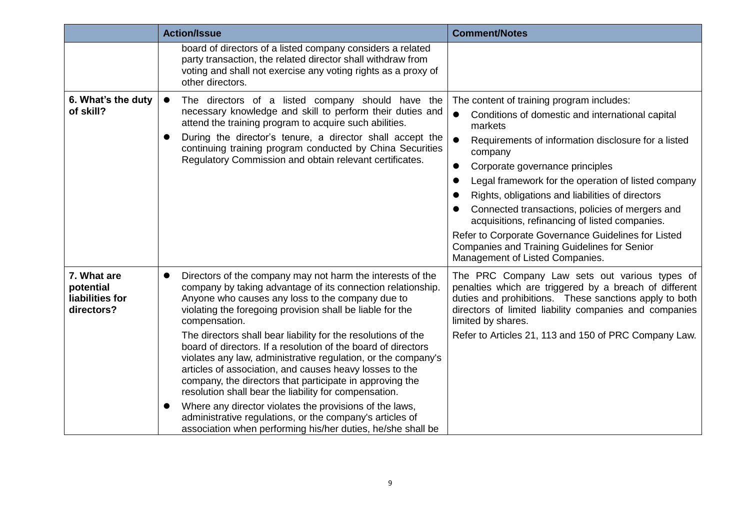|                                                           | <b>Action/Issue</b>                                                                                                                                                                                                                                                                                                                                                                                                                                                                                                                                                                                                                                                                                                                                                                                                                                    | <b>Comment/Notes</b>                                                                                                                                                                                                                                                                                                                                                                                                                                                                                                                                                                                           |
|-----------------------------------------------------------|--------------------------------------------------------------------------------------------------------------------------------------------------------------------------------------------------------------------------------------------------------------------------------------------------------------------------------------------------------------------------------------------------------------------------------------------------------------------------------------------------------------------------------------------------------------------------------------------------------------------------------------------------------------------------------------------------------------------------------------------------------------------------------------------------------------------------------------------------------|----------------------------------------------------------------------------------------------------------------------------------------------------------------------------------------------------------------------------------------------------------------------------------------------------------------------------------------------------------------------------------------------------------------------------------------------------------------------------------------------------------------------------------------------------------------------------------------------------------------|
|                                                           | board of directors of a listed company considers a related<br>party transaction, the related director shall withdraw from<br>voting and shall not exercise any voting rights as a proxy of<br>other directors.                                                                                                                                                                                                                                                                                                                                                                                                                                                                                                                                                                                                                                         |                                                                                                                                                                                                                                                                                                                                                                                                                                                                                                                                                                                                                |
| 6. What's the duty<br>of skill?                           | The directors of a listed company should have the<br>$\bullet$<br>necessary knowledge and skill to perform their duties and<br>attend the training program to acquire such abilities.<br>During the director's tenure, a director shall accept the<br>continuing training program conducted by China Securities<br>Regulatory Commission and obtain relevant certificates.                                                                                                                                                                                                                                                                                                                                                                                                                                                                             | The content of training program includes:<br>$\bullet$<br>Conditions of domestic and international capital<br>markets<br>$\bullet$<br>Requirements of information disclosure for a listed<br>company<br>Corporate governance principles<br>$\bullet$<br>Legal framework for the operation of listed company<br>Rights, obligations and liabilities of directors<br>Connected transactions, policies of mergers and<br>acquisitions, refinancing of listed companies.<br>Refer to Corporate Governance Guidelines for Listed<br>Companies and Training Guidelines for Senior<br>Management of Listed Companies. |
| 7. What are<br>potential<br>liabilities for<br>directors? | Directors of the company may not harm the interests of the<br>$\bullet$<br>company by taking advantage of its connection relationship.<br>Anyone who causes any loss to the company due to<br>violating the foregoing provision shall be liable for the<br>compensation.<br>The directors shall bear liability for the resolutions of the<br>board of directors. If a resolution of the board of directors<br>violates any law, administrative regulation, or the company's<br>articles of association, and causes heavy losses to the<br>company, the directors that participate in approving the<br>resolution shall bear the liability for compensation.<br>Where any director violates the provisions of the laws,<br>●<br>administrative regulations, or the company's articles of<br>association when performing his/her duties, he/she shall be | The PRC Company Law sets out various types of<br>penalties which are triggered by a breach of different<br>duties and prohibitions. These sanctions apply to both<br>directors of limited liability companies and companies<br>limited by shares.<br>Refer to Articles 21, 113 and 150 of PRC Company Law.                                                                                                                                                                                                                                                                                                     |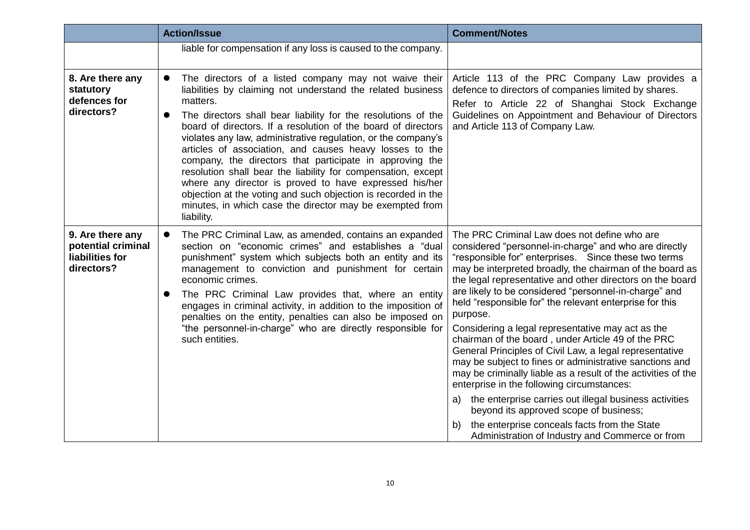|                                                                         | <b>Action/Issue</b>                                                                                                                                                                                                                                                                                                                                                                                                                                                                                                                                                                                                                                                                                                                                       | <b>Comment/Notes</b>                                                                                                                                                                                                                                                                                                                                                                                                                                                                                                                                                                                                                                                                                                                                                                                                                                                                                                                                                                      |
|-------------------------------------------------------------------------|-----------------------------------------------------------------------------------------------------------------------------------------------------------------------------------------------------------------------------------------------------------------------------------------------------------------------------------------------------------------------------------------------------------------------------------------------------------------------------------------------------------------------------------------------------------------------------------------------------------------------------------------------------------------------------------------------------------------------------------------------------------|-------------------------------------------------------------------------------------------------------------------------------------------------------------------------------------------------------------------------------------------------------------------------------------------------------------------------------------------------------------------------------------------------------------------------------------------------------------------------------------------------------------------------------------------------------------------------------------------------------------------------------------------------------------------------------------------------------------------------------------------------------------------------------------------------------------------------------------------------------------------------------------------------------------------------------------------------------------------------------------------|
|                                                                         | liable for compensation if any loss is caused to the company.                                                                                                                                                                                                                                                                                                                                                                                                                                                                                                                                                                                                                                                                                             |                                                                                                                                                                                                                                                                                                                                                                                                                                                                                                                                                                                                                                                                                                                                                                                                                                                                                                                                                                                           |
| 8. Are there any<br>statutory<br>defences for<br>directors?             | The directors of a listed company may not waive their<br>$\bullet$<br>liabilities by claiming not understand the related business<br>matters.<br>The directors shall bear liability for the resolutions of the<br>$\bullet$<br>board of directors. If a resolution of the board of directors<br>violates any law, administrative regulation, or the company's<br>articles of association, and causes heavy losses to the<br>company, the directors that participate in approving the<br>resolution shall bear the liability for compensation, except<br>where any director is proved to have expressed his/her<br>objection at the voting and such objection is recorded in the<br>minutes, in which case the director may be exempted from<br>liability. | Article 113 of the PRC Company Law provides a<br>defence to directors of companies limited by shares.<br>Refer to Article 22 of Shanghai Stock Exchange<br>Guidelines on Appointment and Behaviour of Directors<br>and Article 113 of Company Law.                                                                                                                                                                                                                                                                                                                                                                                                                                                                                                                                                                                                                                                                                                                                        |
| 9. Are there any<br>potential criminal<br>liabilities for<br>directors? | The PRC Criminal Law, as amended, contains an expanded<br>$\bullet$<br>section on "economic crimes" and establishes a "dual<br>punishment" system which subjects both an entity and its<br>management to conviction and punishment for certain<br>economic crimes.<br>The PRC Criminal Law provides that, where an entity<br>$\bullet$<br>engages in criminal activity, in addition to the imposition of<br>penalties on the entity, penalties can also be imposed on<br>"the personnel-in-charge" who are directly responsible for<br>such entities.                                                                                                                                                                                                     | The PRC Criminal Law does not define who are<br>considered "personnel-in-charge" and who are directly<br>"responsible for" enterprises. Since these two terms<br>may be interpreted broadly, the chairman of the board as<br>the legal representative and other directors on the board<br>are likely to be considered "personnel-in-charge" and<br>held "responsible for" the relevant enterprise for this<br>purpose.<br>Considering a legal representative may act as the<br>chairman of the board, under Article 49 of the PRC<br>General Principles of Civil Law, a legal representative<br>may be subject to fines or administrative sanctions and<br>may be criminally liable as a result of the activities of the<br>enterprise in the following circumstances:<br>the enterprise carries out illegal business activities<br>a)<br>beyond its approved scope of business;<br>the enterprise conceals facts from the State<br>b)<br>Administration of Industry and Commerce or from |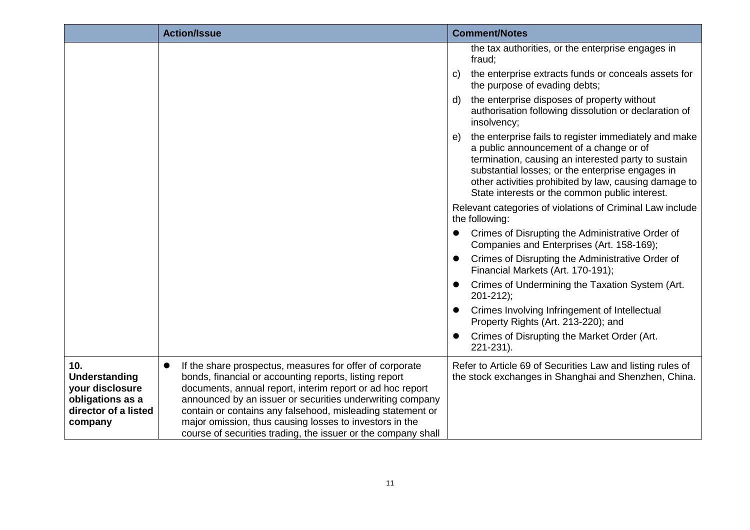|                                                                                                       | <b>Action/Issue</b>                                                                                                                                                                                                                                                                                                                                                                                                                                 | <b>Comment/Notes</b>                                                                                                                                                                                                                                                                                                         |
|-------------------------------------------------------------------------------------------------------|-----------------------------------------------------------------------------------------------------------------------------------------------------------------------------------------------------------------------------------------------------------------------------------------------------------------------------------------------------------------------------------------------------------------------------------------------------|------------------------------------------------------------------------------------------------------------------------------------------------------------------------------------------------------------------------------------------------------------------------------------------------------------------------------|
|                                                                                                       |                                                                                                                                                                                                                                                                                                                                                                                                                                                     | the tax authorities, or the enterprise engages in<br>fraud;                                                                                                                                                                                                                                                                  |
|                                                                                                       |                                                                                                                                                                                                                                                                                                                                                                                                                                                     | the enterprise extracts funds or conceals assets for<br>C)<br>the purpose of evading debts;                                                                                                                                                                                                                                  |
|                                                                                                       |                                                                                                                                                                                                                                                                                                                                                                                                                                                     | the enterprise disposes of property without<br>d)<br>authorisation following dissolution or declaration of<br>insolvency;                                                                                                                                                                                                    |
|                                                                                                       |                                                                                                                                                                                                                                                                                                                                                                                                                                                     | the enterprise fails to register immediately and make<br>e)<br>a public announcement of a change or of<br>termination, causing an interested party to sustain<br>substantial losses; or the enterprise engages in<br>other activities prohibited by law, causing damage to<br>State interests or the common public interest. |
|                                                                                                       |                                                                                                                                                                                                                                                                                                                                                                                                                                                     | Relevant categories of violations of Criminal Law include<br>the following:                                                                                                                                                                                                                                                  |
|                                                                                                       |                                                                                                                                                                                                                                                                                                                                                                                                                                                     | Crimes of Disrupting the Administrative Order of<br>Companies and Enterprises (Art. 158-169);                                                                                                                                                                                                                                |
|                                                                                                       |                                                                                                                                                                                                                                                                                                                                                                                                                                                     | Crimes of Disrupting the Administrative Order of<br>Financial Markets (Art. 170-191);                                                                                                                                                                                                                                        |
|                                                                                                       |                                                                                                                                                                                                                                                                                                                                                                                                                                                     | Crimes of Undermining the Taxation System (Art.<br>$201 - 212$ ;                                                                                                                                                                                                                                                             |
|                                                                                                       |                                                                                                                                                                                                                                                                                                                                                                                                                                                     | Crimes Involving Infringement of Intellectual<br>Property Rights (Art. 213-220); and                                                                                                                                                                                                                                         |
|                                                                                                       |                                                                                                                                                                                                                                                                                                                                                                                                                                                     | Crimes of Disrupting the Market Order (Art.<br>221-231).                                                                                                                                                                                                                                                                     |
| 10.<br><b>Understanding</b><br>your disclosure<br>obligations as a<br>director of a listed<br>company | If the share prospectus, measures for offer of corporate<br>$\bullet$<br>bonds, financial or accounting reports, listing report<br>documents, annual report, interim report or ad hoc report<br>announced by an issuer or securities underwriting company<br>contain or contains any falsehood, misleading statement or<br>major omission, thus causing losses to investors in the<br>course of securities trading, the issuer or the company shall | Refer to Article 69 of Securities Law and listing rules of<br>the stock exchanges in Shanghai and Shenzhen, China.                                                                                                                                                                                                           |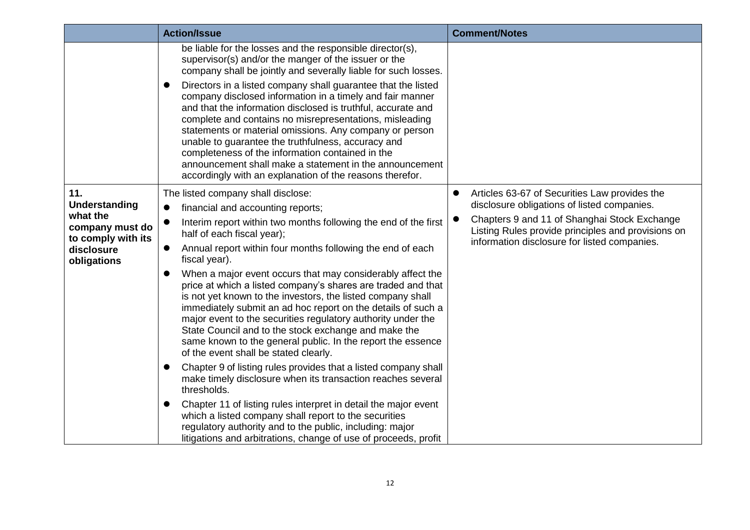|                                                                                                        | <b>Action/Issue</b>                                                                                                                                                                                                                                                                                                                                                                                                                                                                                                                                                                                                                                                                                                                                                                                                                                                                                                                                                                                                                                                                                                                                                                                                               | <b>Comment/Notes</b>                                                                                                                                                                                                                                                         |
|--------------------------------------------------------------------------------------------------------|-----------------------------------------------------------------------------------------------------------------------------------------------------------------------------------------------------------------------------------------------------------------------------------------------------------------------------------------------------------------------------------------------------------------------------------------------------------------------------------------------------------------------------------------------------------------------------------------------------------------------------------------------------------------------------------------------------------------------------------------------------------------------------------------------------------------------------------------------------------------------------------------------------------------------------------------------------------------------------------------------------------------------------------------------------------------------------------------------------------------------------------------------------------------------------------------------------------------------------------|------------------------------------------------------------------------------------------------------------------------------------------------------------------------------------------------------------------------------------------------------------------------------|
|                                                                                                        | be liable for the losses and the responsible director(s),<br>supervisor(s) and/or the manger of the issuer or the<br>company shall be jointly and severally liable for such losses.<br>Directors in a listed company shall guarantee that the listed<br>$\bullet$<br>company disclosed information in a timely and fair manner<br>and that the information disclosed is truthful, accurate and<br>complete and contains no misrepresentations, misleading<br>statements or material omissions. Any company or person<br>unable to guarantee the truthfulness, accuracy and<br>completeness of the information contained in the<br>announcement shall make a statement in the announcement<br>accordingly with an explanation of the reasons therefor.                                                                                                                                                                                                                                                                                                                                                                                                                                                                             |                                                                                                                                                                                                                                                                              |
| 11.<br>Understanding<br>what the<br>company must do<br>to comply with its<br>disclosure<br>obligations | The listed company shall disclose:<br>financial and accounting reports;<br>$\bullet$<br>Interim report within two months following the end of the first<br>half of each fiscal year);<br>Annual report within four months following the end of each<br>$\bullet$<br>fiscal year).<br>When a major event occurs that may considerably affect the<br>$\bullet$<br>price at which a listed company's shares are traded and that<br>is not yet known to the investors, the listed company shall<br>immediately submit an ad hoc report on the details of such a<br>major event to the securities regulatory authority under the<br>State Council and to the stock exchange and make the<br>same known to the general public. In the report the essence<br>of the event shall be stated clearly.<br>Chapter 9 of listing rules provides that a listed company shall<br>$\bullet$<br>make timely disclosure when its transaction reaches several<br>thresholds.<br>Chapter 11 of listing rules interpret in detail the major event<br>$\bullet$<br>which a listed company shall report to the securities<br>regulatory authority and to the public, including: major<br>litigations and arbitrations, change of use of proceeds, profit | Articles 63-67 of Securities Law provides the<br>$\bullet$<br>disclosure obligations of listed companies.<br>Chapters 9 and 11 of Shanghai Stock Exchange<br>$\bullet$<br>Listing Rules provide principles and provisions on<br>information disclosure for listed companies. |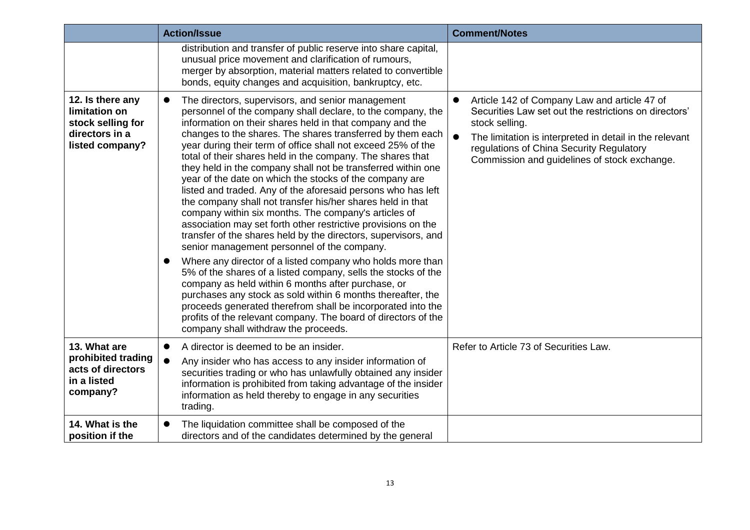|                                                                                             | <b>Action/Issue</b>                                                                                                                                                                                                                                                                                                                                                                                                                                                                                                                                                                                                                                                                                                                                                                                                                                                                                                                                                                                                                                                                                                                                                                                                                                                                                                   | <b>Comment/Notes</b>                                                                                                                                                                                                                                                                                     |
|---------------------------------------------------------------------------------------------|-----------------------------------------------------------------------------------------------------------------------------------------------------------------------------------------------------------------------------------------------------------------------------------------------------------------------------------------------------------------------------------------------------------------------------------------------------------------------------------------------------------------------------------------------------------------------------------------------------------------------------------------------------------------------------------------------------------------------------------------------------------------------------------------------------------------------------------------------------------------------------------------------------------------------------------------------------------------------------------------------------------------------------------------------------------------------------------------------------------------------------------------------------------------------------------------------------------------------------------------------------------------------------------------------------------------------|----------------------------------------------------------------------------------------------------------------------------------------------------------------------------------------------------------------------------------------------------------------------------------------------------------|
|                                                                                             | distribution and transfer of public reserve into share capital,<br>unusual price movement and clarification of rumours,<br>merger by absorption, material matters related to convertible<br>bonds, equity changes and acquisition, bankruptcy, etc.                                                                                                                                                                                                                                                                                                                                                                                                                                                                                                                                                                                                                                                                                                                                                                                                                                                                                                                                                                                                                                                                   |                                                                                                                                                                                                                                                                                                          |
| 12. Is there any<br>limitation on<br>stock selling for<br>directors in a<br>listed company? | The directors, supervisors, and senior management<br>$\bullet$<br>personnel of the company shall declare, to the company, the<br>information on their shares held in that company and the<br>changes to the shares. The shares transferred by them each<br>year during their term of office shall not exceed 25% of the<br>total of their shares held in the company. The shares that<br>they held in the company shall not be transferred within one<br>year of the date on which the stocks of the company are<br>listed and traded. Any of the aforesaid persons who has left<br>the company shall not transfer his/her shares held in that<br>company within six months. The company's articles of<br>association may set forth other restrictive provisions on the<br>transfer of the shares held by the directors, supervisors, and<br>senior management personnel of the company.<br>Where any director of a listed company who holds more than<br>5% of the shares of a listed company, sells the stocks of the<br>company as held within 6 months after purchase, or<br>purchases any stock as sold within 6 months thereafter, the<br>proceeds generated therefrom shall be incorporated into the<br>profits of the relevant company. The board of directors of the<br>company shall withdraw the proceeds. | Article 142 of Company Law and article 47 of<br>$\bullet$<br>Securities Law set out the restrictions on directors'<br>stock selling.<br>$\bullet$<br>The limitation is interpreted in detail in the relevant<br>regulations of China Security Regulatory<br>Commission and guidelines of stock exchange. |
| 13. What are<br>prohibited trading<br>acts of directors<br>in a listed<br>company?          | A director is deemed to be an insider.<br>$\bullet$<br>Any insider who has access to any insider information of<br>$\bullet$<br>securities trading or who has unlawfully obtained any insider<br>information is prohibited from taking advantage of the insider<br>information as held thereby to engage in any securities<br>trading.                                                                                                                                                                                                                                                                                                                                                                                                                                                                                                                                                                                                                                                                                                                                                                                                                                                                                                                                                                                | Refer to Article 73 of Securities Law.                                                                                                                                                                                                                                                                   |
| 14. What is the<br>position if the                                                          | The liquidation committee shall be composed of the<br>directors and of the candidates determined by the general                                                                                                                                                                                                                                                                                                                                                                                                                                                                                                                                                                                                                                                                                                                                                                                                                                                                                                                                                                                                                                                                                                                                                                                                       |                                                                                                                                                                                                                                                                                                          |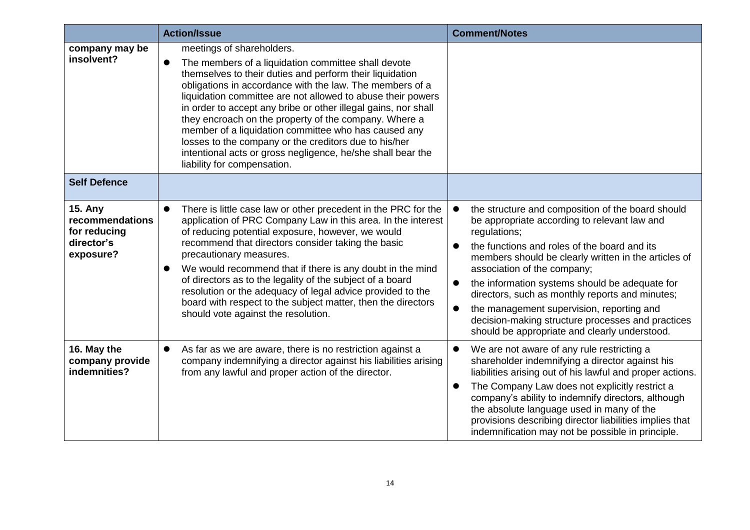|                                                                              | <b>Action/Issue</b>                                                                                                                                                                                                                                                                                                                                                                                                                                                                                                                                                                                                            | <b>Comment/Notes</b>                                                                                                                                                                                                                                                                                                                                                                                                                                                                                                                       |
|------------------------------------------------------------------------------|--------------------------------------------------------------------------------------------------------------------------------------------------------------------------------------------------------------------------------------------------------------------------------------------------------------------------------------------------------------------------------------------------------------------------------------------------------------------------------------------------------------------------------------------------------------------------------------------------------------------------------|--------------------------------------------------------------------------------------------------------------------------------------------------------------------------------------------------------------------------------------------------------------------------------------------------------------------------------------------------------------------------------------------------------------------------------------------------------------------------------------------------------------------------------------------|
| company may be<br>insolvent?                                                 | meetings of shareholders.<br>The members of a liquidation committee shall devote<br>$\bullet$<br>themselves to their duties and perform their liquidation<br>obligations in accordance with the law. The members of a<br>liquidation committee are not allowed to abuse their powers<br>in order to accept any bribe or other illegal gains, nor shall<br>they encroach on the property of the company. Where a<br>member of a liquidation committee who has caused any<br>losses to the company or the creditors due to his/her<br>intentional acts or gross negligence, he/she shall bear the<br>liability for compensation. |                                                                                                                                                                                                                                                                                                                                                                                                                                                                                                                                            |
| <b>Self Defence</b>                                                          |                                                                                                                                                                                                                                                                                                                                                                                                                                                                                                                                                                                                                                |                                                                                                                                                                                                                                                                                                                                                                                                                                                                                                                                            |
| <b>15. Any</b><br>recommendations<br>for reducing<br>director's<br>exposure? | There is little case law or other precedent in the PRC for the<br>application of PRC Company Law in this area. In the interest<br>of reducing potential exposure, however, we would<br>recommend that directors consider taking the basic<br>precautionary measures.<br>We would recommend that if there is any doubt in the mind<br>of directors as to the legality of the subject of a board<br>resolution or the adequacy of legal advice provided to the<br>board with respect to the subject matter, then the directors<br>should vote against the resolution.                                                            | the structure and composition of the board should<br>be appropriate according to relevant law and<br>regulations;<br>the functions and roles of the board and its<br>members should be clearly written in the articles of<br>association of the company;<br>the information systems should be adequate for<br>$\bullet$<br>directors, such as monthly reports and minutes;<br>the management supervision, reporting and<br>$\bullet$<br>decision-making structure processes and practices<br>should be appropriate and clearly understood. |
| 16. May the<br>company provide<br>indemnities?                               | As far as we are aware, there is no restriction against a<br>$\bullet$<br>company indemnifying a director against his liabilities arising<br>from any lawful and proper action of the director.                                                                                                                                                                                                                                                                                                                                                                                                                                | We are not aware of any rule restricting a<br>shareholder indemnifying a director against his<br>liabilities arising out of his lawful and proper actions.<br>The Company Law does not explicitly restrict a<br>$\bullet$<br>company's ability to indemnify directors, although<br>the absolute language used in many of the<br>provisions describing director liabilities implies that<br>indemnification may not be possible in principle.                                                                                               |